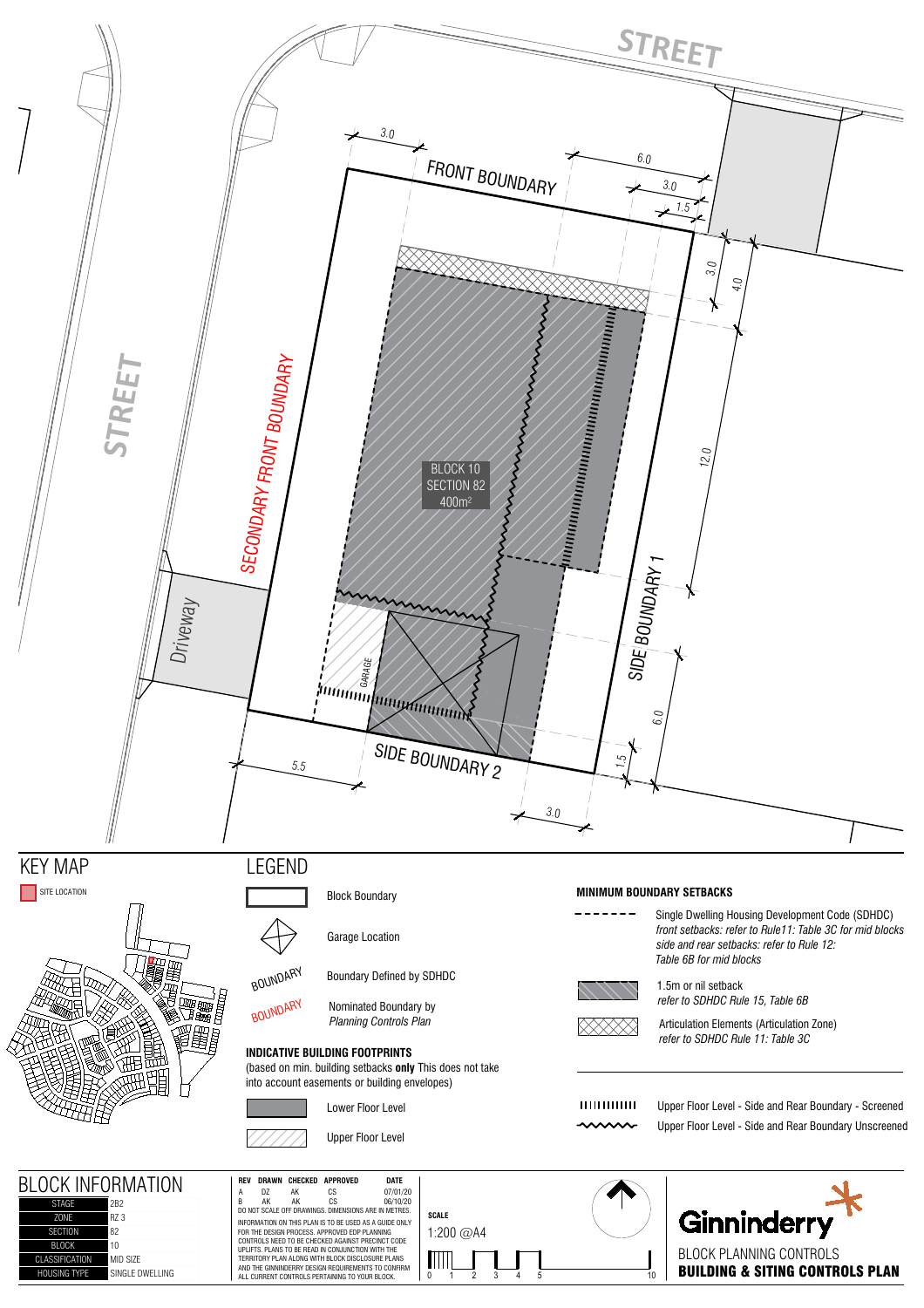